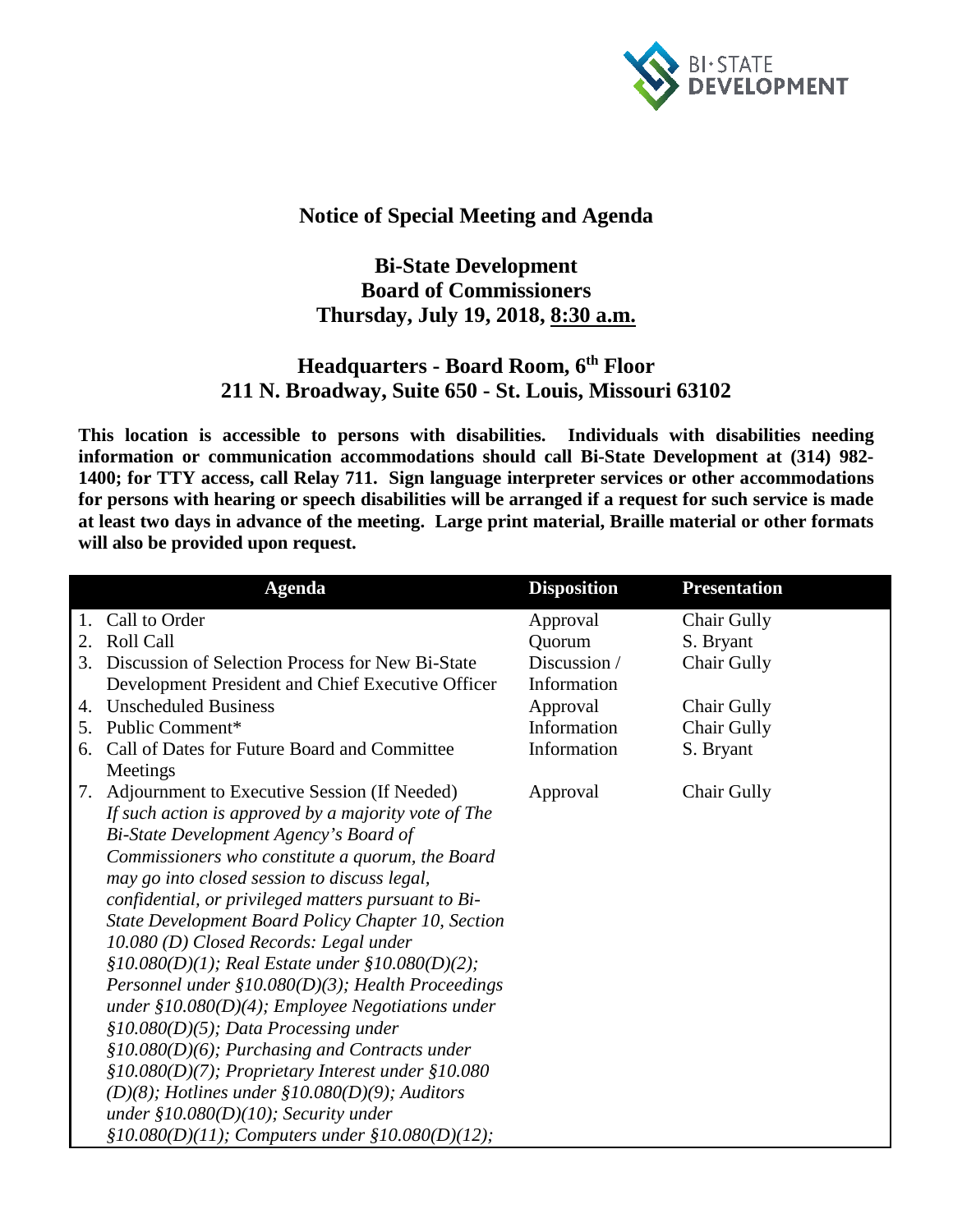

## **Notice of Special Meeting and Agenda**

## **Bi-State Development Board of Commissioners Thursday, July 19, 2018, 8:30 a.m.**

## **Headquarters - Board Room, 6th Floor 211 N. Broadway, Suite 650 - St. Louis, Missouri 63102**

**This location is accessible to persons with disabilities. Individuals with disabilities needing information or communication accommodations should call Bi-State Development at (314) 982- 1400; for TTY access, call Relay 711. Sign language interpreter services or other accommodations for persons with hearing or speech disabilities will be arranged if a request for such service is made at least two days in advance of the meeting. Large print material, Braille material or other formats will also be provided upon request.**

|    | <b>Agenda</b>                                         | <b>Disposition</b> | <b>Presentation</b> |
|----|-------------------------------------------------------|--------------------|---------------------|
|    | Call to Order                                         | Approval           | Chair Gully         |
| 2. | <b>Roll Call</b>                                      | Quorum             | S. Bryant           |
| 3. | Discussion of Selection Process for New Bi-State      | Discussion /       | Chair Gully         |
|    | Development President and Chief Executive Officer     | Information        |                     |
| 4. | <b>Unscheduled Business</b>                           | Approval           | <b>Chair Gully</b>  |
| 5. | Public Comment*                                       | Information        | <b>Chair Gully</b>  |
| 6. | Call of Dates for Future Board and Committee          | Information        | S. Bryant           |
|    | Meetings                                              |                    |                     |
| 7. | Adjournment to Executive Session (If Needed)          | Approval           | <b>Chair Gully</b>  |
|    | If such action is approved by a majority vote of The  |                    |                     |
|    | Bi-State Development Agency's Board of                |                    |                     |
|    | Commissioners who constitute a quorum, the Board      |                    |                     |
|    | may go into closed session to discuss legal,          |                    |                     |
|    | confidential, or privileged matters pursuant to Bi-   |                    |                     |
|    | State Development Board Policy Chapter 10, Section    |                    |                     |
|    | 10.080 (D) Closed Records: Legal under                |                    |                     |
|    | $$10.080(D)(1);$ Real Estate under $$10.080(D)(2);$   |                    |                     |
|    | Personnel under $$10.080(D)(3);$ Health Proceedings   |                    |                     |
|    | under $$10.080(D)(4);$ Employee Negotiations under    |                    |                     |
|    | $$10.080(D)(5);$ Data Processing under                |                    |                     |
|    | $$10.080(D)(6);$ Purchasing and Contracts under       |                    |                     |
|    | $$10.080(D)(7);$ Proprietary Interest under $$10.080$ |                    |                     |
|    | $(D)(8)$ ; Hotlines under §10.080(D)(9); Auditors     |                    |                     |
|    | under $$10.080(D)(10);$ Security under                |                    |                     |
|    | $$10.080(D)(11);$ Computers under $$10.080(D)(12);$   |                    |                     |